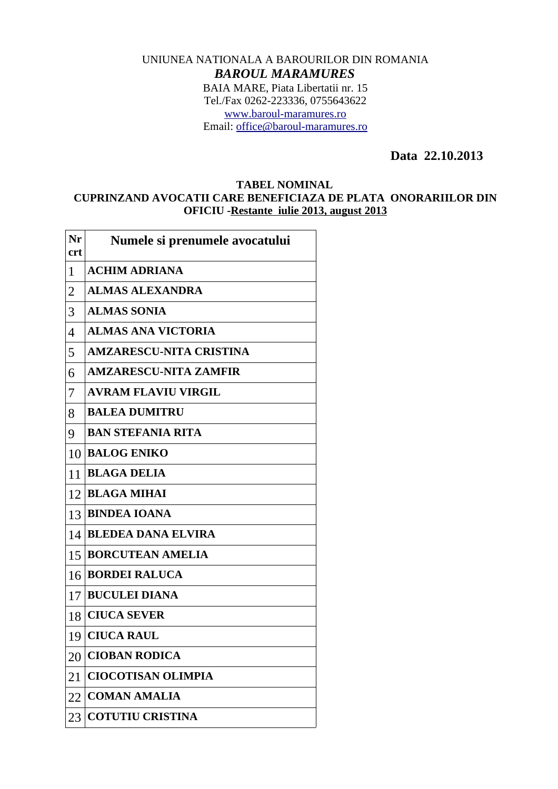## UNIUNEA NATIONALA A BAROURILOR DIN ROMANIA *BAROUL MARAMURES* BAIA MARE, Piata Libertatii nr. 15 Tel./Fax 0262-223336, 0755643622 [www.baroul-maramures.ro](http://www.baroul-maramures.ro/) Email: [office@baroul-maramures.ro](mailto:office@baroul-maramures.ro)

 **Data 22.10.2013**

## **TABEL NOMINAL CUPRINZAND AVOCATII CARE BENEFICIAZA DE PLATA ONORARIILOR DIN OFICIU -Restante iulie 2013, august 2013**

| Nr<br><b>crt</b> | Numele si prenumele avocatului |
|------------------|--------------------------------|
| $\mathbf{1}$     | <b>ACHIM ADRIANA</b>           |
| $\overline{2}$   | <b>ALMAS ALEXANDRA</b>         |
| 3                | <b>ALMAS SONIA</b>             |
| $\overline{4}$   | <b>ALMAS ANA VICTORIA</b>      |
| 5                | <b>AMZARESCU-NITA CRISTINA</b> |
| 6                | <b>AMZARESCU-NITA ZAMFIR</b>   |
| 7                | <b>AVRAM FLAVIU VIRGIL</b>     |
| 8                | <b>BALEA DUMITRU</b>           |
| 9                | <b>BAN STEFANIA RITA</b>       |
| 10               | <b>BALOG ENIKO</b>             |
| 11               | <b>BLAGA DELIA</b>             |
| 12               | <b>BLAGA MIHAI</b>             |
| 13               | <b>BINDEA IOANA</b>            |
| 14               | <b>BLEDEA DANA ELVIRA</b>      |
| 15               | <b>BORCUTEAN AMELIA</b>        |
| 16               | <b>BORDEI RALUCA</b>           |
| 17               | <b>BUCULEI DIANA</b>           |
|                  | 18 CIUCA SEVER                 |
| 19               | <b>CIUCA RAUL</b>              |
| 20               | <b>CIOBAN RODICA</b>           |
| 21               | <b>CIOCOTISAN OLIMPIA</b>      |
| 22               | <b>COMAN AMALIA</b>            |
| 23               | <b>COTUTIU CRISTINA</b>        |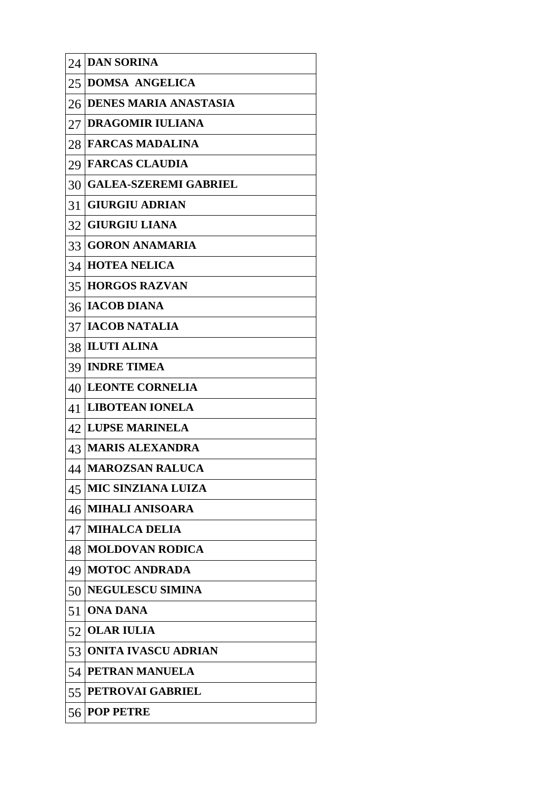| 24 | <b>DAN SORINA</b>            |
|----|------------------------------|
|    | 25 DOMSA ANGELICA            |
| 26 | <b>DENES MARIA ANASTASIA</b> |
| 27 | <b>DRAGOMIR IULIANA</b>      |
| 28 | <b>FARCAS MADALINA</b>       |
| 29 | <b>FARCAS CLAUDIA</b>        |
| 30 | <b>GALEA-SZEREMI GABRIEL</b> |
| 31 | <b>GIURGIU ADRIAN</b>        |
|    | 32 GIURGIU LIANA             |
|    | 33 GORON ANAMARIA            |
|    | 34 HOTEA NELICA              |
| 35 | <b>HORGOS RAZVAN</b>         |
| 36 | <b>IACOB DIANA</b>           |
|    | 37   IACOB NATALIA           |
|    | 38 ILUTI ALINA               |
| 39 | <b>INDRE TIMEA</b>           |
| 40 | <b>LEONTE CORNELIA</b>       |
| 41 | <b>LIBOTEAN IONELA</b>       |
| 42 | <b>LUPSE MARINELA</b>        |
| 43 | <b>MARIS ALEXANDRA</b>       |
|    | 44   MAROZSAN RALUCA         |
| 45 | <b>MIC SINZIANA LUIZA</b>    |
| 46 | <b>MIHALI ANISOARA</b>       |
| 47 | <b>MIHALCA DELIA</b>         |
| 48 | <b>MOLDOVAN RODICA</b>       |
| 49 | <b>MOTOC ANDRADA</b>         |
| 50 | <b>NEGULESCU SIMINA</b>      |
| 51 | <b>ONA DANA</b>              |
| 52 | <b>OLAR IULIA</b>            |
| 53 | <b>ONITA IVASCU ADRIAN</b>   |
| 54 | <b>PETRAN MANUELA</b>        |
| 55 | <b>PETROVAI GABRIEL</b>      |
| 56 | <b>POP PETRE</b>             |